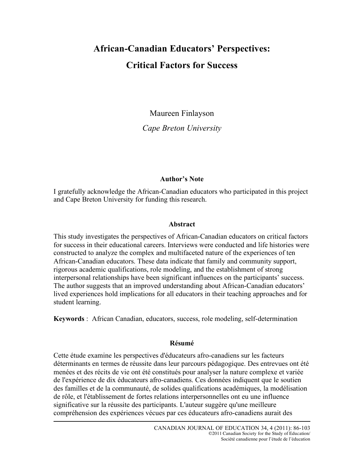# **African-Canadian Educators' Perspectives: Critical Factors for Success**

Maureen Finlayson

*Cape Breton University*

# **Author's Note**

I gratefully acknowledge the African-Canadian educators who participated in this project and Cape Breton University for funding this research.

## **Abstract**

This study investigates the perspectives of African-Canadian educators on critical factors for success in their educational careers. Interviews were conducted and life histories were constructed to analyze the complex and multifaceted nature of the experiences of ten African-Canadian educators. These data indicate that family and community support, rigorous academic qualifications, role modeling, and the establishment of strong interpersonal relationships have been significant influences on the participants' success. The author suggests that an improved understanding about African-Canadian educators' lived experiences hold implications for all educators in their teaching approaches and for student learning.

**Keywords** : African Canadian, educators, success, role modeling, self-determination

# **Résumé**

Cette étude examine les perspectives d'éducateurs afro-canadiens sur les facteurs déterminants en termes de réussite dans leur parcours pédagogique. Des entrevues ont été menées et des récits de vie ont été constitués pour analyser la nature complexe et variée de l'expérience de dix éducateurs afro-canadiens. Ces données indiquent que le soutien des familles et de la communauté, de solides qualifications académiques, la modélisation de rôle, et l'établissement de fortes relations interpersonnelles ont eu une influence significative sur la réussite des participants. L'auteur suggère qu'une meilleure compréhension des expériences vécues par ces éducateurs afro-canadiens aurait des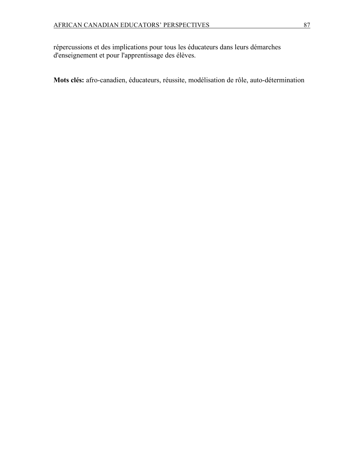répercussions et des implications pour tous les éducateurs dans leurs démarches d'enseignement et pour l'apprentissage des élèves.

**Mots clés:** afro-canadien, éducateurs, réussite, modélisation de rôle, auto-détermination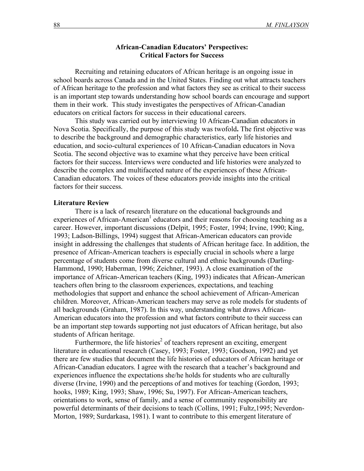## **African-Canadian Educators' Perspectives: Critical Factors for Success**

Recruiting and retaining educators of African heritage is an ongoing issue in school boards across Canada and in the United States. Finding out what attracts teachers of African heritage to the profession and what factors they see as critical to their success is an important step towards understanding how school boards can encourage and support them in their work. This study investigates the perspectives of African-Canadian educators on critical factors for success in their educational careers.

This study was carried out by interviewing 10 African-Canadian educators in Nova Scotia. Specifically, the purpose of this study was twofold**.** The first objective was to describe the background and demographic characteristics, early life histories and education, and socio-cultural experiences of 10 African-Canadian educators in Nova Scotia. The second objective was to examine what they perceive have been critical factors for their success. Interviews were conducted and life histories were analyzed to describe the complex and multifaceted nature of the experiences of these African-Canadian educators. The voices of these educators provide insights into the critical factors for their success.

## **Literature Review**

There is a lack of research literature on the educational backgrounds and experiences of African-American<sup>1</sup> educators and their reasons for choosing teaching as a career. However, important discussions (Delpit, 1995; Foster, 1994; Irvine, 1990; King, 1993; Ladson-Billings, 1994) suggest that African-American educators can provide insight in addressing the challenges that students of African heritage face. In addition, the presence of African-American teachers is especially crucial in schools where a large percentage of students come from diverse cultural and ethnic backgrounds (Darling-Hammond, 1990; Haberman, 1996; Zeichner, 1993). A close examination of the importance of African-American teachers (King, 1993) indicates that African-American teachers often bring to the classroom experiences, expectations, and teaching methodologies that support and enhance the school achievement of African-American children. Moreover, African-American teachers may serve as role models for students of all backgrounds (Graham, 1987). In this way, understanding what draws African-American educators into the profession and what factors contribute to their success can be an important step towards supporting not just educators of African heritage, but also students of African heritage.

Furthermore, the life histories<sup>2</sup> of teachers represent an exciting, emergent literature in educational research (Casey, 1993; Foster, 1993; Goodson, 1992) and yet there are few studies that document the life histories of educators of African heritage or African-Canadian educators. I agree with the research that a teacher's background and experiences influence the expectations she/he holds for students who are culturally diverse (Irvine, 1990) and the perceptions of and motives for teaching (Gordon, 1993; hooks, 1989; King, 1993; Shaw, 1996; Su, 1997). For African-American teachers, orientations to work, sense of family, and a sense of community responsibility are powerful determinants of their decisions to teach (Collins, 1991; Fultz,1995; Neverdon-Morton, 1989; Surdarkasa, 1981). I want to contribute to this emergent literature of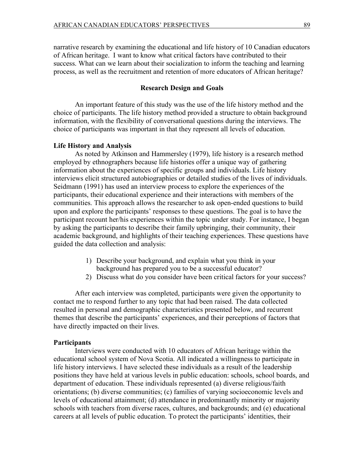narrative research by examining the educational and life history of 10 Canadian educators of African heritage. I want to know what critical factors have contributed to their success. What can we learn about their socialization to inform the teaching and learning process, as well as the recruitment and retention of more educators of African heritage?

# **Research Design and Goals**

An important feature of this study was the use of the life history method and the choice of participants. The life history method provided a structure to obtain background information, with the flexibility of conversational questions during the interviews. The choice of participants was important in that they represent all levels of education.

### **Life History and Analysis**

As noted by Atkinson and Hammersley (1979), life history is a research method employed by ethnographers because life histories offer a unique way of gathering information about the experiences of specific groups and individuals. Life history interviews elicit structured autobiographies or detailed studies of the lives of individuals. Seidmann (1991) has used an interview process to explore the experiences of the participants, their educational experience and their interactions with members of the communities. This approach allows the researcher to ask open-ended questions to build upon and explore the participants' responses to these questions. The goal is to have the participant recount her/his experiences within the topic under study. For instance, I began by asking the participants to describe their family upbringing, their community, their academic background, and highlights of their teaching experiences. These questions have guided the data collection and analysis:

- 1) Describe your background, and explain what you think in your background has prepared you to be a successful educator?
- 2) Discuss what do you consider have been critical factors for your success?

After each interview was completed, participants were given the opportunity to contact me to respond further to any topic that had been raised. The data collected resulted in personal and demographic characteristics presented below, and recurrent themes that describe the participants' experiences, and their perceptions of factors that have directly impacted on their lives.

#### **Participants**

Interviews were conducted with 10 educators of African heritage within the educational school system of Nova Scotia. All indicated a willingness to participate in life history interviews. I have selected these individuals as a result of the leadership positions they have held at various levels in public education: schools, school boards, and department of education. These individuals represented (a) diverse religious/faith orientations; (b) diverse communities; (c) families of varying socioeconomic levels and levels of educational attainment; (d) attendance in predominantly minority or majority schools with teachers from diverse races, cultures, and backgrounds; and (e) educational careers at all levels of public education. To protect the participants' identities, their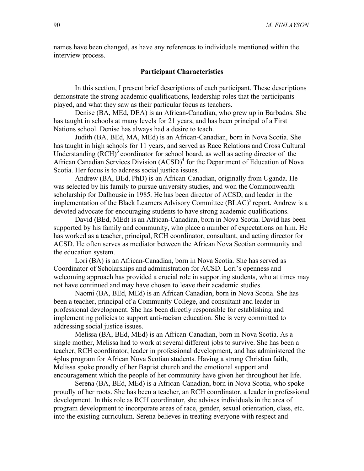names have been changed, as have any references to individuals mentioned within the interview process.

#### **Participant Characteristics**

In this section, I present brief descriptions of each participant. These descriptions demonstrate the strong academic qualifications, leadership roles that the participants played, and what they saw as their particular focus as teachers.

Denise (BA, MEd, DEA) is an African-Canadian, who grew up in Barbados. She has taught in schools at many levels for 21 years, and has been principal of a First Nations school. Denise has always had a desire to teach.

Judith (BA, BEd, MA, MEd) is an African-Canadian, born in Nova Scotia. She has taught in high schools for 11 years, and served as Race Relations and Cross Cultural Understanding  $(RCH)^3$  coordinator for school board, as well as acting director of the African Canadian Services Division (ACSD)<sup>4</sup> for the Department of Education of Nova Scotia. Her focus is to address social justice issues.

Andrew (BA, BEd, PhD) is an African-Canadian, originally from Uganda. He was selected by his family to pursue university studies, and won the Commonwealth scholarship for Dalhousie in 1985. He has been director of ACSD, and leader in the implementation of the Black Learners Advisory Committee  $(BLAC)^5$  report. Andrew is a devoted advocate for encouraging students to have strong academic qualifications.

David (BEd, MEd) is an African-Canadian, born in Nova Scotia. David has been supported by his family and community, who place a number of expectations on him. He has worked as a teacher, principal, RCH coordinator, consultant, and acting director for ACSD. He often serves as mediator between the African Nova Scotian community and the education system.

Lori (BA) is an African-Canadian, born in Nova Scotia. She has served as Coordinator of Scholarships and administration for ACSD. Lori's openness and welcoming approach has provided a crucial role in supporting students, who at times may not have continued and may have chosen to leave their academic studies.

Naomi (BA, BEd, MEd) is an African Canadian, born in Nova Scotia. She has been a teacher, principal of a Community College, and consultant and leader in professional development. She has been directly responsible for establishing and implementing policies to support anti-racism education. She is very committed to addressing social justice issues.

Melissa (BA, BEd, MEd) is an African-Canadian, born in Nova Scotia. As a single mother, Melissa had to work at several different jobs to survive. She has been a teacher, RCH coordinator, leader in professional development, and has administered the 4plus program for African Nova Scotian students. Having a strong Christian faith, Melissa spoke proudly of her Baptist church and the emotional support and encouragement which the people of her community have given her throughout her life.

Serena (BA, BEd, MEd) is a African-Canadian, born in Nova Scotia, who spoke proudly of her roots. She has been a teacher, an RCH coordinator, a leader in professional development. In this role as RCH coordinator, she advises individuals in the area of program development to incorporate areas of race, gender, sexual orientation, class, etc. into the existing curriculum. Serena believes in treating everyone with respect and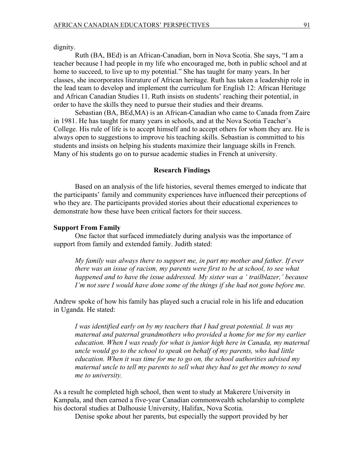dignity.

Ruth (BA, BEd) is an African-Canadian, born in Nova Scotia. She says, "I am a teacher because I had people in my life who encouraged me, both in public school and at home to succeed, to live up to my potential." She has taught for many years. In her classes, she incorporates literature of African heritage. Ruth has taken a leadership role in the lead team to develop and implement the curriculum for English 12: African Heritage and African Canadian Studies 11. Ruth insists on students' reaching their potential, in order to have the skills they need to pursue their studies and their dreams.

Sebastian (BA, BEd,MA) is an African-Canadian who came to Canada from Zaire in 1981. He has taught for many years in schools, and at the Nova Scotia Teacher's College. His rule of life is to accept himself and to accept others for whom they are. He is always open to suggestions to improve his teaching skills. Sebastian is committed to his students and insists on helping his students maximize their language skills in French. Many of his students go on to pursue academic studies in French at university.

## **Research Findings**

Based on an analysis of the life histories, several themes emerged to indicate that the participants' family and community experiences have influenced their perceptions of who they are. The participants provided stories about their educational experiences to demonstrate how these have been critical factors for their success.

#### **Support From Family**

One factor that surfaced immediately during analysis was the importance of support from family and extended family. Judith stated:

*My family was always there to support me, in part my mother and father. If ever there was an issue of racism, my parents were first to be at school, to see what happened and to have the issue addressed. My sister was a ' trailblazer,' because I'm not sure I would have done some of the things if she had not gone before me.* 

Andrew spoke of how his family has played such a crucial role in his life and education in Uganda. He stated:

*I was identified early on by my teachers that I had great potential. It was my maternal and paternal grandmothers who provided a home for me for my earlier education. When I was ready for what is junior high here in Canada, my maternal uncle would go to the school to speak on behalf of my parents, who had little education. When it was time for me to go on, the school authorities advised my maternal uncle to tell my parents to sell what they had to get the money to send me to university.*

As a result he completed high school, then went to study at Makerere University in Kampala, and then earned a five-year Canadian commonwealth scholarship to complete his doctoral studies at Dalhousie University, Halifax, Nova Scotia.

Denise spoke about her parents, but especially the support provided by her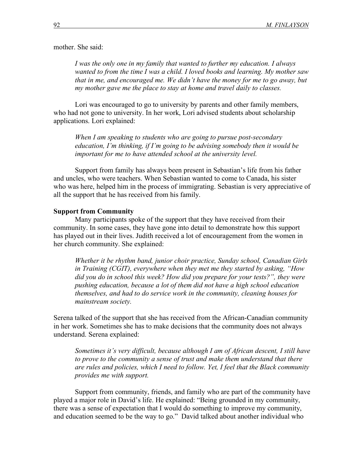mother. She said:

*I was the only one in my family that wanted to further my education. I always wanted to from the time I was a child. I loved books and learning. My mother saw that in me, and encouraged me. We didn't have the money for me to go away, but my mother gave me the place to stay at home and travel daily to classes.*

Lori was encouraged to go to university by parents and other family members, who had not gone to university. In her work, Lori advised students about scholarship applications. Lori explained:

*When I am speaking to students who are going to pursue post-secondary education, I'm thinking, if I'm going to be advising somebody then it would be important for me to have attended school at the university level.*

Support from family has always been present in Sebastian's life from his father and uncles, who were teachers. When Sebastian wanted to come to Canada, his sister who was here, helped him in the process of immigrating. Sebastian is very appreciative of all the support that he has received from his family.

#### **Support from Community**

Many participants spoke of the support that they have received from their community. In some cases, they have gone into detail to demonstrate how this support has played out in their lives. Judith received a lot of encouragement from the women in her church community. She explained:

*Whether it be rhythm band, junior choir practice, Sunday school, Canadian Girls in Training (CGIT), everywhere when they met me they started by asking, "How did you do in school this week? How did you prepare for your tests?", they were pushing education, because a lot of them did not have a high school education themselves, and had to do service work in the community, cleaning houses for mainstream society.* 

Serena talked of the support that she has received from the African-Canadian community in her work. Sometimes she has to make decisions that the community does not always understand. Serena explained:

*Sometimes it's very difficult, because although I am of African descent, I still have*  to prove to the community a sense of trust and make them understand that there *are rules and policies, which I need to follow. Yet, I feel that the Black community provides me with support.*

Support from community, friends, and family who are part of the community have played a major role in David's life. He explained: "Being grounded in my community, there was a sense of expectation that I would do something to improve my community, and education seemed to be the way to go." David talked about another individual who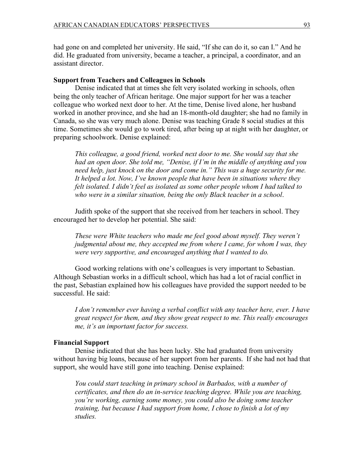had gone on and completed her university. He said, "If she can do it, so can I." And he did. He graduated from university, became a teacher, a principal, a coordinator, and an assistant director.

#### **Support from Teachers and Colleagues in Schools**

Denise indicated that at times she felt very isolated working in schools, often being the only teacher of African heritage. One major support for her was a teacher colleague who worked next door to her. At the time, Denise lived alone, her husband worked in another province, and she had an 18-month-old daughter; she had no family in Canada, so she was very much alone. Denise was teaching Grade 8 social studies at this time. Sometimes she would go to work tired, after being up at night with her daughter, or preparing schoolwork. Denise explained:

*This colleague, a good friend, worked next door to me. She would say that she had an open door. She told me, "Denise, if I'm in the middle of anything and you need help, just knock on the door and come in." This was a huge security for me. It helped a lot. Now, I've known people that have been in situations where they felt isolated. I didn't feel as isolated as some other people whom I had talked to who were in a similar situation, being the only Black teacher in a school*.

Judith spoke of the support that she received from her teachers in school. They encouraged her to develop her potential. She said:

*These were White teachers who made me feel good about myself. They weren't judgmental about me, they accepted me from where I came, for whom I was, they were very supportive, and encouraged anything that I wanted to do.* 

Good working relations with one's colleagues is very important to Sebastian. Although Sebastian works in a difficult school, which has had a lot of racial conflict in the past, Sebastian explained how his colleagues have provided the support needed to be successful. He said:

*I don't remember ever having a verbal conflict with any teacher here, ever. I have great respect for them, and they show great respect to me. This really encourages me, it's an important factor for success.*

#### **Financial Support**

Denise indicated that she has been lucky. She had graduated from university without having big loans, because of her support from her parents. If she had not had that support, she would have still gone into teaching. Denise explained:

*You could start teaching in primary school in Barbados, with a number of certificates, and then do an in-service teaching degree. While you are teaching, you're working, earning some money, you could also be doing some teacher training, but because I had support from home, I chose to finish a lot of my studies.*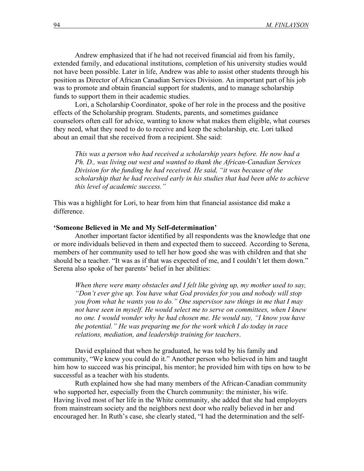Andrew emphasized that if he had not received financial aid from his family, extended family, and educational institutions, completion of his university studies would not have been possible. Later in life, Andrew was able to assist other students through his position as Director of African Canadian Services Division. An important part of his job was to promote and obtain financial support for students, and to manage scholarship funds to support them in their academic studies.

Lori, a Scholarship Coordinator, spoke of her role in the process and the positive effects of the Scholarship program. Students, parents, and sometimes guidance counselors often call for advice, wanting to know what makes them eligible, what courses they need, what they need to do to receive and keep the scholarship, etc. Lori talked about an email that she received from a recipient. She said:

*This was a person who had received a scholarship years before. He now had a Ph. D., was living out west and wanted to thank the African-Canadian Services Division for the funding he had received. He said, "it was because of the scholarship that he had received early in his studies that had been able to achieve this level of academic success."*

This was a highlight for Lori, to hear from him that financial assistance did make a difference.

#### **'Someone Believed in Me and My Self-determination'**

Another important factor identified by all respondents was the knowledge that one or more individuals believed in them and expected them to succeed. According to Serena, members of her community used to tell her how good she was with children and that she should be a teacher. "It was as if that was expected of me, and I couldn't let them down." Serena also spoke of her parents' belief in her abilities:

*When there were many obstacles and I felt like giving up, my mother used to say, "Don't ever give up. You have what God provides for you and nobody will stop you from what he wants you to do." One supervisor saw things in me that I may not have seen in myself. He would select me to serve on committees, when I knew no one. I would wonder why he had chosen me. He would say, "I know you have the potential." He was preparing me for the work which I do today in race relations, mediation, and leadership training for teachers*.

David explained that when he graduated, he was told by his family and community, "We knew you could do it." Another person who believed in him and taught him how to succeed was his principal, his mentor; he provided him with tips on how to be successful as a teacher with his students.

Ruth explained how she had many members of the African-Canadian community who supported her, especially from the Church community: the minister, his wife. Having lived most of her life in the White community, she added that she had employers from mainstream society and the neighbors next door who really believed in her and encouraged her. In Ruth's case, she clearly stated, "I had the determination and the self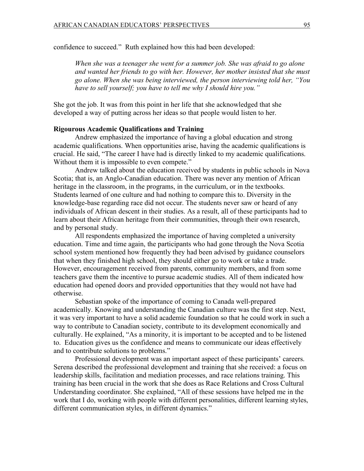confidence to succeed." Ruth explained how this had been developed:

*When she was a teenager she went for a summer job. She was afraid to go alone and wanted her friends to go with her. However, her mother insisted that she must go alone. When she was being interviewed, the person interviewing told her, "You have to sell yourself; you have to tell me why I should hire you."*

She got the job. It was from this point in her life that she acknowledged that she developed a way of putting across her ideas so that people would listen to her.

## **Rigourous Academic Qualifications and Training**

Andrew emphasized the importance of having a global education and strong academic qualifications. When opportunities arise, having the academic qualifications is crucial. He said, "The career I have had is directly linked to my academic qualifications. Without them it is impossible to even compete."

Andrew talked about the education received by students in public schools in Nova Scotia; that is, an Anglo-Canadian education. There was never any mention of African heritage in the classroom, in the programs, in the curriculum, or in the textbooks. Students learned of one culture and had nothing to compare this to. Diversity in the knowledge-base regarding race did not occur. The students never saw or heard of any individuals of African descent in their studies. As a result, all of these participants had to learn about their African heritage from their communities, through their own research, and by personal study.

All respondents emphasized the importance of having completed a university education. Time and time again, the participants who had gone through the Nova Scotia school system mentioned how frequently they had been advised by guidance counselors that when they finished high school, they should either go to work or take a trade. However, encouragement received from parents, community members, and from some teachers gave them the incentive to pursue academic studies. All of them indicated how education had opened doors and provided opportunities that they would not have had otherwise.

Sebastian spoke of the importance of coming to Canada well-prepared academically. Knowing and understanding the Canadian culture was the first step. Next, it was very important to have a solid academic foundation so that he could work in such a way to contribute to Canadian society, contribute to its development economically and culturally. He explained, "As a minority, it is important to be accepted and to be listened to. Education gives us the confidence and means to communicate our ideas effectively and to contribute solutions to problems."

Professional development was an important aspect of these participants' careers. Serena described the professional development and training that she received: a focus on leadership skills, facilitation and mediation processes, and race relations training. This training has been crucial in the work that she does as Race Relations and Cross Cultural Understanding coordinator. She explained, "All of these sessions have helped me in the work that I do, working with people with different personalities, different learning styles, different communication styles, in different dynamics."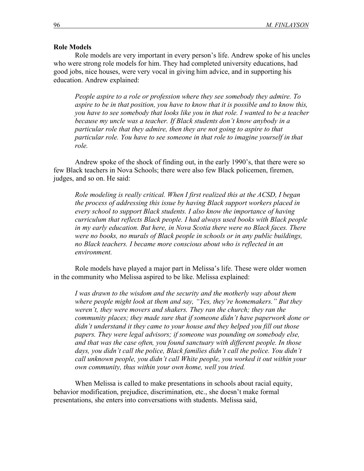## **Role Models**

Role models are very important in every person's life. Andrew spoke of his uncles who were strong role models for him. They had completed university educations, had good jobs, nice houses, were very vocal in giving him advice, and in supporting his education. Andrew explained:

*People aspire to a role or profession where they see somebody they admire. To aspire to be in that position, you have to know that it is possible and to know this, you have to see somebody that looks like you in that role. I wanted to be a teacher because my uncle was a teacher. If Black students don't know anybody in a particular role that they admire, then they are not going to aspire to that particular role. You have to see someone in that role to imagine yourself in that role.*

Andrew spoke of the shock of finding out, in the early 1990's, that there were so few Black teachers in Nova Schools; there were also few Black policemen, firemen, judges, and so on. He said:

*Role modeling is really critical. When I first realized this at the ACSD, I began the process of addressing this issue by having Black support workers placed in every school to support Black students. I also know the importance of having curriculum that reflects Black people. I had always used books with Black people in my early education. But here, in Nova Scotia there were no Black faces. There were no books, no murals of Black people in schools or in any public buildings, no Black teachers. I became more conscious about who is reflected in an environment.* 

Role models have played a major part in Melissa's life. These were older women in the community who Melissa aspired to be like. Melissa explained:

*I was drawn to the wisdom and the security and the motherly way about them where people might look at them and say, "Yes, they're homemakers." But they weren't, they were movers and shakers. They ran the church; they ran the community places; they made sure that if someone didn't have paperwork done or didn't understand it they came to your house and they helped you fill out those papers. They were legal advisors; if someone was pounding on somebody else, and that was the case often, you found sanctuary with different people. In those days, you didn't call the police, Black families didn't call the police. You didn't call unknown people, you didn't call White people, you worked it out within your own community, thus within your own home, well you tried.* 

When Melissa is called to make presentations in schools about racial equity, behavior modification, prejudice, discrimination, etc., she doesn't make formal presentations, she enters into conversations with students. Melissa said,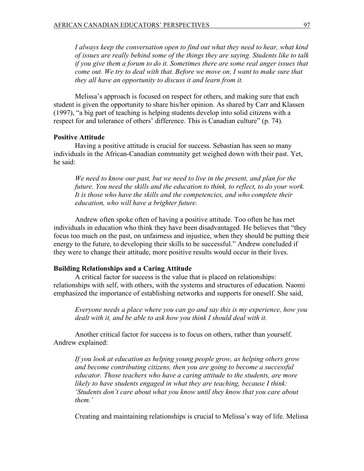*I always keep the conversation open to find out what they need to hear, what kind of issues are really behind some of the things they are saying. Students like to talk if you give them a forum to do it. Sometimes there are some real anger issues that come out. We try to deal with that. Before we move on, I want to make sure that they all have an opportunity to discuss it and learn from it.* 

Melissa's approach is focused on respect for others, and making sure that each student is given the opportunity to share his/her opinion. As shared by Carr and Klassen (1997), "a big part of teaching is helping students develop into solid citizens with a respect for and tolerance of others' difference. This is Canadian culture" (p. 74).

# **Positive Attitude**

Having a positive attitude is crucial for success. Sebastian has seen so many individuals in the African-Canadian community get weighed down with their past. Yet, he said:

*We need to know our past, but we need to live in the present, and plan for the future. You need the skills and the education to think, to reflect, to do your work. It is those who have the skills and the competencies, and who complete their education, who will have a brighter future.* 

Andrew often spoke often of having a positive attitude. Too often he has met individuals in education who think they have been disadvantaged. He believes that "they focus too much on the past, on unfairness and injustice, when they should be putting their energy to the future, to developing their skills to be successful." Andrew concluded if they were to change their attitude, more positive results would occur in their lives.

#### **Building Relationships and a Caring Attitude**

A critical factor for success is the value that is placed on relationships: relationships with self, with others, with the systems and structures of education. Naomi emphasized the importance of establishing networks and supports for oneself. She said,

*Everyone needs a place where you can go and say this is my experience, how you dealt with it, and be able to ask how you think I should deal with it.*

Another critical factor for success is to focus on others, rather than yourself. Andrew explained:

*If you look at education as helping young people grow, as helping others grow and become contributing citizens, then you are going to become a successful educator. Those teachers who have a caring attitude to the students, are more likely to have students engaged in what they are teaching, because I think: 'Students don't care about what you know until they know that you care about them.'*

Creating and maintaining relationships is crucial to Melissa's way of life. Melissa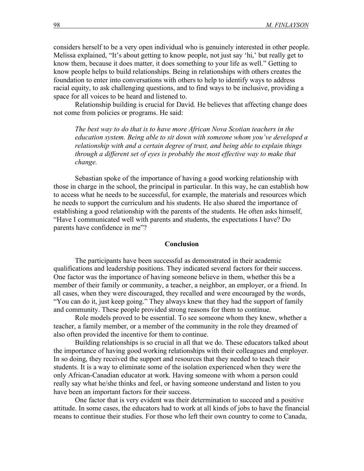considers herself to be a very open individual who is genuinely interested in other people. Melissa explained, "It's about getting to know people, not just say 'hi,' but really get to know them, because it does matter, it does something to your life as well." Getting to know people helps to build relationships. Being in relationships with others creates the foundation to enter into conversations with others to help to identify ways to address racial equity, to ask challenging questions, and to find ways to be inclusive, providing a space for all voices to be heard and listened to.

Relationship building is crucial for David. He believes that affecting change does not come from policies or programs. He said:

*The best way to do that is to have more African Nova Scotian teachers in the education system. Being able to sit down with someone whom you've developed a relationship with and a certain degree of trust, and being able to explain things through a different set of eyes is probably the most effective way to make that change.* 

Sebastian spoke of the importance of having a good working relationship with those in charge in the school, the principal in particular. In this way, he can establish how to access what he needs to be successful, for example, the materials and resources which he needs to support the curriculum and his students. He also shared the importance of establishing a good relationship with the parents of the students. He often asks himself, "Have I communicated well with parents and students, the expectations I have? Do parents have confidence in me"?

#### **Conclusion**

The participants have been successful as demonstrated in their academic qualifications and leadership positions. They indicated several factors for their success. One factor was the importance of having someone believe in them, whether this be a member of their family or community, a teacher, a neighbor, an employer, or a friend. In all cases, when they were discouraged, they recalled and were encouraged by the words, "You can do it, just keep going." They always knew that they had the support of family and community. These people provided strong reasons for them to continue.

Role models proved to be essential. To see someone whom they knew, whether a teacher, a family member, or a member of the community in the role they dreamed of also often provided the incentive for them to continue.

Building relationships is so crucial in all that we do. These educators talked about the importance of having good working relationships with their colleagues and employer. In so doing, they received the support and resources that they needed to teach their students. It is a way to eliminate some of the isolation experienced when they were the only African-Canadian educator at work. Having someone with whom a person could really say what he/she thinks and feel, or having someone understand and listen to you have been an important factors for their success.

One factor that is very evident was their determination to succeed and a positive attitude. In some cases, the educators had to work at all kinds of jobs to have the financial means to continue their studies. For those who left their own country to come to Canada,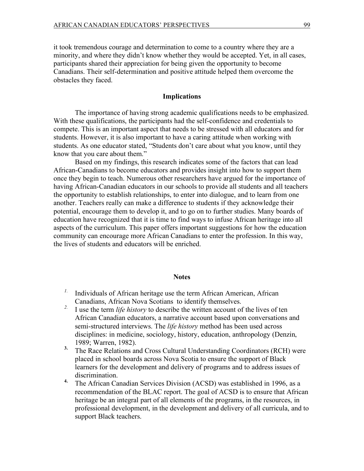it took tremendous courage and determination to come to a country where they are a minority, and where they didn't know whether they would be accepted. Yet, in all cases, participants shared their appreciation for being given the opportunity to become Canadians. Their self-determination and positive attitude helped them overcome the obstacles they faced.

## **Implications**

The importance of having strong academic qualifications needs to be emphasized. With these qualifications, the participants had the self-confidence and credentials to compete. This is an important aspect that needs to be stressed with all educators and for students. However, it is also important to have a caring attitude when working with students. As one educator stated, "Students don't care about what you know, until they know that you care about them."

Based on my findings, this research indicates some of the factors that can lead African-Canadians to become educators and provides insight into how to support them once they begin to teach. Numerous other researchers have argued for the importance of having African-Canadian educators in our schools to provide all students and all teachers the opportunity to establish relationships, to enter into dialogue, and to learn from one another. Teachers really can make a difference to students if they acknowledge their potential, encourage them to develop it, and to go on to further studies. Many boards of education have recognized that it is time to find ways to infuse African heritage into all aspects of the curriculum. This paper offers important suggestions for how the education community can encourage more African Canadians to enter the profession. In this way, the lives of students and educators will be enriched.

#### **Notes**

- *1.* Individuals of African heritage use the term African American, African Canadians, African Nova Scotians to identify themselves.
- *2.* I use the term *life history* to describe the written account of the lives of ten African Canadian educators, a narrative account based upon conversations and semi-structured interviews. The *life history* method has been used across disciplines: in medicine, sociology, history, education, anthropology (Denzin, 1989; Warren, 1982).
- **3.** The Race Relations and Cross Cultural Understanding Coordinators (RCH) were placed in school boards across Nova Scotia to ensure the support of Black learners for the development and delivery of programs and to address issues of discrimination.
- **4.** The African Canadian Services Division (ACSD) was established in 1996, as a recommendation of the BLAC report. The goal of ACSD is to ensure that African heritage be an integral part of all elements of the programs, in the resources, in professional development, in the development and delivery of all curricula, and to support Black teachers.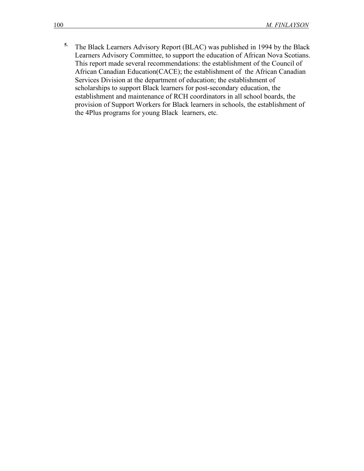**5.** The Black Learners Advisory Report (BLAC) was published in 1994 by the Black Learners Advisory Committee, to support the education of African Nova Scotians. This report made several recommendations: the establishment of the Council of African Canadian Education(CACE); the establishment of the African Canadian Services Division at the department of education; the establishment of scholarships to support Black learners for post-secondary education, the establishment and maintenance of RCH coordinators in all school boards, the provision of Support Workers for Black learners in schools, the establishment of the 4Plus programs for young Black learners, etc.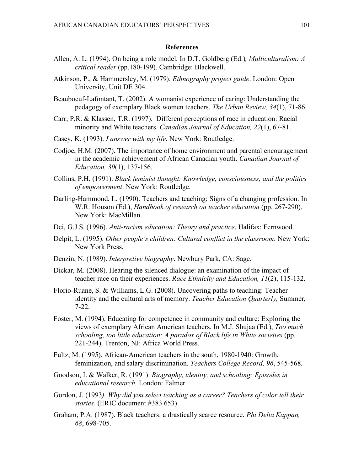## **References**

- Allen, A. L. (1994). On being a role model. In D.T. Goldberg (Ed.)*, Multiculturalism: A critical reader* (pp.180-199). Cambridge: Blackwell.
- Atkinson, P., & Hammersley, M. (1979). *Ethnography project guide*. London: Open University, Unit DE 304.
- Beauboeuf-Lafontant, T. (2002). A womanist experience of caring: Understanding the pedagogy of exemplary Black women teachers. *The Urban Review, 34*(1), 71-86.
- Carr, P.R. & Klassen, T.R. (1997). Different perceptions of race in education: Racial minority and White teachers. *Canadian Journal of Education, 22*(1), 67-81.
- Casey, K. (1993). *I answer with my life*. New York: Routledge.
- Codjoe, H.M. (2007). The importance of home environment and parental encouragement in the academic achievement of African Canadian youth. *Canadian Journal of Education, 30*(1), 137-156.
- Collins, P.H. (1991). *Black feminist thought: Knowledge, consciousness, and the politics of empowerment*. New York: Routledge.
- Darling-Hammond, L. (1990). Teachers and teaching: Signs of a changing profession. In W.R. Houson (Ed.), *Handbook of research on teacher education* (pp. 267-290). New York: MacMillan.
- Dei, G.J.S. (1996). *Anti-racism education: Theory and practice*. Halifax: Fernwood.
- Delpit, L. (1995). *Other people's children: Cultural conflict in the classroom*. New York: New York Press.
- Denzin, N. (1989). *Interpretive biography*. Newbury Park, CA: Sage.
- Dickar, M. (2008). Hearing the silenced dialogue: an examination of the impact of teacher race on their experiences. *Race Ethnicity and Education, 11*(2), 115-132.
- Florio-Ruane, S. & Williams, L.G. (2008). Uncovering paths to teaching: Teacher identity and the cultural arts of memory. *Teacher Education Quarterly,* Summer, 7-22.
- Foster, M. (1994). Educating for competence in community and culture: Exploring the views of exemplary African American teachers. In M.J. Shujaa (Ed.), *Too much schooling, too little education: A paradox of Black life in White societies* (pp. 221-244). Trenton, NJ: Africa World Press.
- Fultz, M. (1995). African-American teachers in the south, 1980-1940: Growth, feminization, and salary discrimination. *Teachers College Record, 96*, 545-568.
- Goodson, I. & Walker, R. (1991). *Biography, identity, and schooling: Episodes in educational research.* London: Falmer.
- Gordon, J. (1993*). Why did you select teaching as a career? Teachers of color tell their stories.* (ERIC document #383 653).
- Graham, P.A. (1987). Black teachers: a drastically scarce resource. *Phi Delta Kappan, 68*, 698-705.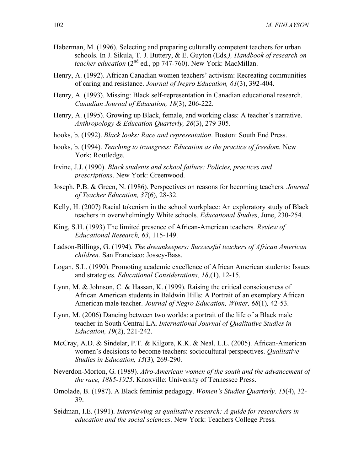- Haberman, M. (1996). Selecting and preparing culturally competent teachers for urban schools. In J. Sikula, T. J. Buttery, & E. Guyton (Eds*.), Handbook of research on teacher education* (2<sup>nd</sup> ed., pp 747-760). New York: MacMillan.
- Henry, A. (1992). African Canadian women teachers' activism: Recreating communities of caring and resistance. *Journal of Negro Education, 61*(3), 392-404.
- Henry, A. (1993). Missing: Black self-representation in Canadian educational research. *Canadian Journal of Education, 18*(3), 206-222.
- Henry, A. (1995). Growing up Black, female, and working class: A teacher's narrative. *Anthropology & Education Quarterly, 26*(3), 279-305.
- hooks, b. (1992). *Black looks: Race and representation*. Boston: South End Press.
- hooks, b. (1994). *Teaching to transgress: Education as the practice of freedom.* New York: Routledge.
- Irvine, J.J. (1990). *Black students and school failure: Policies, practices and prescriptions*. New York: Greenwood.
- Joseph, P.B. & Green, N. (1986). Perspectives on reasons for becoming teachers. *Journal of Teacher Education, 37*(6)*,* 28-32.
- Kelly, H. (2007) Racial tokenism in the school workplace: An exploratory study of Black teachers in overwhelmingly White schools. *Educational Studies*, June, 230-254.
- King, S.H. (1993) The limited presence of African-American teachers*. Review of Educational Research, 63*, 115-149.
- Ladson-Billings, G. (1994). *The dreamkeepers: Successful teachers of African American children.* San Francisco: Jossey-Bass.
- Logan, S.L. (1990). Promoting academic excellence of African American students: Issues and strategies. *Educational Considerations, 18*,(1), 12-15.
- Lynn, M. & Johnson, C. & Hassan, K. (1999). Raising the critical consciousness of African American students in Baldwin Hills: A Portrait of an exemplary African American male teacher. *Journal of Negro Education, Winter, 68*(1)*,* 42-53.
- Lynn, M. (2006) Dancing between two worlds: a portrait of the life of a Black male teacher in South Central LA. *International Journal of Qualitative Studies in Education, 19*(2), 221-242.
- McCray, A.D. & Sindelar, P.T. & Kilgore, K.K. & Neal, L.L. (2005). African-American women's decisions to become teachers: sociocultural perspectives. *Qualitative Studies in Education, 15*(3)*,* 269-290.
- Neverdon-Morton, G. (1989). *Afro-American women of the south and the advancement of the race, 1885-1925*. Knoxville: University of Tennessee Press.
- Omolade, B. (1987). A Black feminist pedagogy. *Women's Studies Quarterly, 15*(4), 32- 39.
- Seidman, I.E. (1991). *Interviewing as qualitative research: A guide for researchers in education and the social sciences*. New York: Teachers College Press.